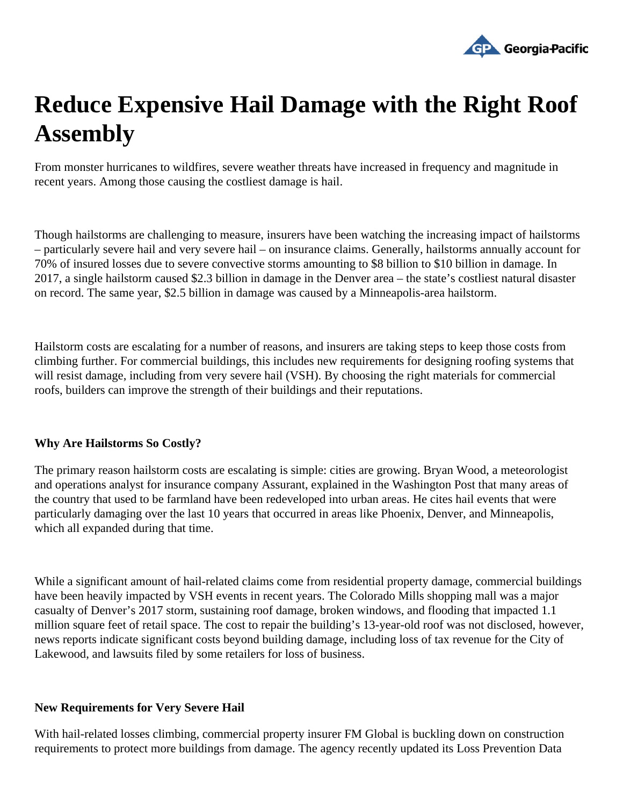## Reduce Expensive Hail Damage with the Right Roof Assembly

From monster hurricanes to wildfires, severe weather threats have increased in frequency and magnitude in recent years. Among those causing the costliest damage is hail.

Though hailstorms are challenging to measure, insurers have been watching the increasing impact of hailstor – particularly severe hail and very severe hail – on insurance claims. Generally, hailstorms annually account f [70% of insured losse](https://www.businessinsurance.com/article/20180814/NEWS06/912323340/Hailstorms-on-track-to-again-cause-over-$10-billion-in-insured-losses-in-2018)sue to severe convective storms amounting to \$8 billion to \$10 billion in damage. In 2017, a single hailstorm caused \$2.3 billion in damage in the Denver area  $-$  thestallest natural disaster on record[.](https://policyadvice.net/insurance/insights/hail-damage-statistics/) The same year, \$2.5 billion in damage was causeld iby eapolis-area hailstorm

Hailstorm costs are escalating for a number of reasons, and insurers are taking steps to keep those costs from climbing further. For commercial buildings, this includes new requirements for designing roofing systems that will resist damage, including from very severe hail (VSH). By choosing the right materials for commercial roofs, builders can improve the strength of their buildings and their reputations.

## Why Are Hailstorms So Costly?

The primary reason hailstorm costs are escalating is simple: cities are growing. Bryan Wood, a meteorologist and operations analyst for insurance company Assurant ained in the Washington Pobat many areas of the country that used to be farmland have been redeveloped into urban areas. He cites hail events that were particularly damaging over the last 10 years that occurred in areas like Phoenix, Denver, and Minneapolis, which all expanded during that time.

While a significant amount of hail-related claims come from residential property damage, commercial building have been heavily impacted by VSH events in recent years. The Colorado Mills shopping mall was a major casualty of Denver's 2017 storm, sustaining roof damage, broken windows, and flooding that impacted 1.1 millionsquare feet of retail space. The cost to repair the building year-old roofwas not disclosed, however, news reports indicate significant costs beyond building damage, including loss of tax revenue for the City of Lakewood, and lawsuits filed by some retailers for loss of business.

## New Requirements for Very Severe Hail

With hail-related losses climbing, commercial property insurer FM Global is buckling down on construction requirements to protect more buildings from damage. The agency recently updated its Loss Prevention Data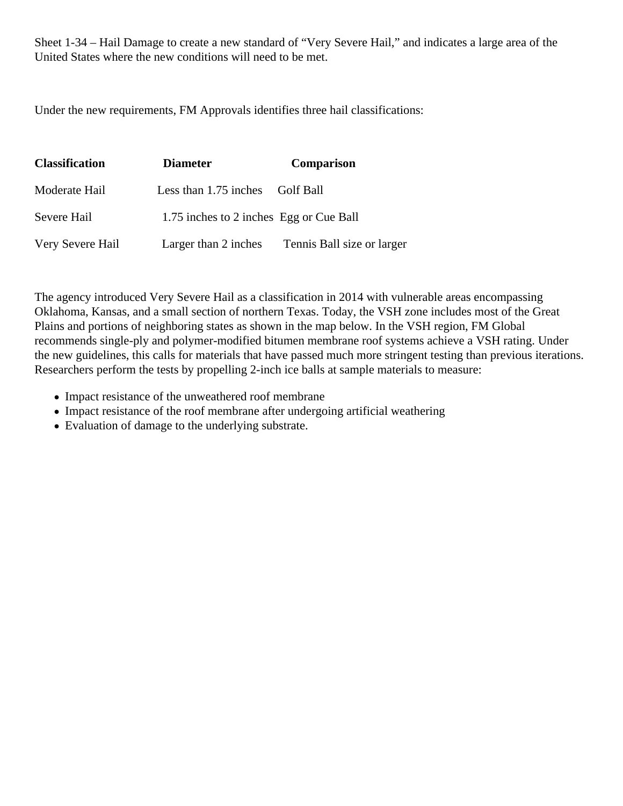Sheet 1-34 – Hail Damage to create a new standard of "Very Severe Hail," and indicates a large area of the United States where the new conditions will need to be met.

Under the new requirements, FM Approvals identifies three hail classifications:

| Classification   | <b>Diameter</b>                         | Comparison                 |
|------------------|-----------------------------------------|----------------------------|
| Moderate Hail    | Less than 1.75 inches Golf Ball         |                            |
| Severe Hail      | 1.75 inches to 2 inches Egg or Cue Ball |                            |
| Very Severe Hail | Larger than 2 inches                    | Tennis Ball size or larger |

[The agenc](https://www.fmapprovals.com/about-fm-approvals/our-mission)yntroducedVery Severe Hail as a classification in 2014 with vulnerable areas encompassing Oklahoma, Kansas, and a small section of northern Texas. Today, the VSH zone includes most of the Great Plains and portions of neighboring states as shown in the map below. In the VSH region, FM Global recommends single-ply and polymer-modified bitumen membrane roof systems achieve a VSH rating. Under the new guidelines, this calls for materials that have passed murrestringent testinthan previous iterations. Researchers perform the tests by propelling 2-inch ice balls at sample materials to measure:

- Impact resistance of the unweathered roof membrane
- Impact resistance of the roof membrane after undergoing artificial weathering
- Evaluation of damage to the underlying substrate.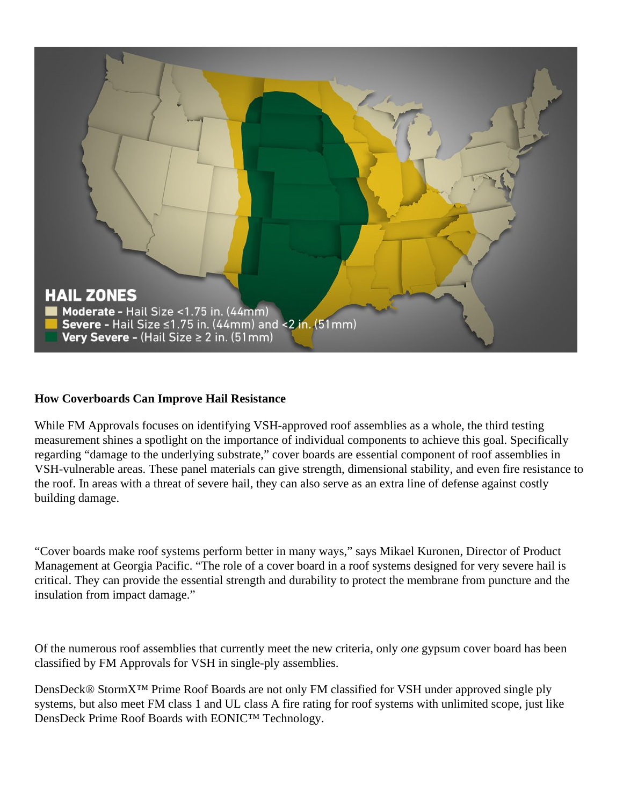

## **How Coverboards Can Improve Hail Resistance**

While FM Approvals focuses on identifying VSH-approved roof assemblies as a whole, the third testing measurement shines a spotlight on the importance of individual components to achieve this goal. Specifically regarding "damage to the underlying substrate," cover boards are essential component of roof assemblies in VSH-vulnerable areas. These panel materials can give strength, dimensional stability, and even fire resistance to the roof. In areas with a threat of severe hail, they can also serve as an extra line of defense against costly building damage.

"Cover boards make roof systems perform better in many ways," says Mikael Kuronen, Director of Product Management at Georgia Pacific. "The role of a cover board in a roof systems designed for very severe hail is critical. They can provide the essential strength and durability to protect the membrane from puncture and the insulation from impact damage."

Of the numerous roof assemblies that currently meet the new criteria, only *one* gypsum cover board has been classified by FM Approvals for VSH in single-ply assemblies.

DensDeck<sup>®</sup> StormX<sup>™</sup> Prime Roof Boards are not only FM classified for VSH under approved single ply systems, but also meet FM class 1 and UL class A fire rating for roof systems with unlimited scope, just like DensDeck Prime Roof Boards with EONIC™ Technology.